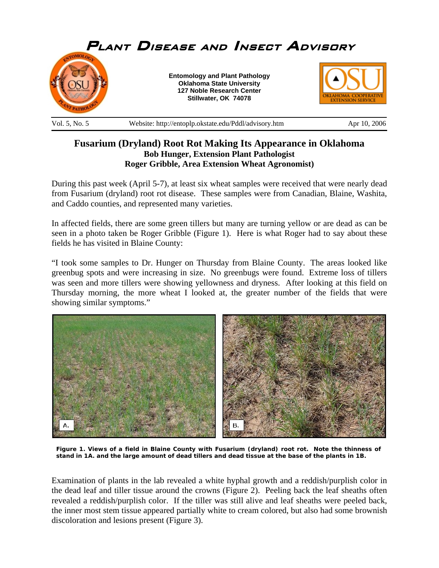

## **Fusarium (Dryland) Root Rot Making Its Appearance in Oklahoma Bob Hunger, Extension Plant Pathologist Roger Gribble, Area Extension Wheat Agronomist)**

During this past week (April 5-7), at least six wheat samples were received that were nearly dead from Fusarium (dryland) root rot disease. These samples were from Canadian, Blaine, Washita, and Caddo counties, and represented many varieties.

In affected fields, there are some green tillers but many are turning yellow or are dead as can be seen in a photo taken be Roger Gribble (Figure 1). Here is what Roger had to say about these fields he has visited in Blaine County:

"I took some samples to Dr. Hunger on Thursday from Blaine County. The areas looked like greenbug spots and were increasing in size. No greenbugs were found. Extreme loss of tillers was seen and more tillers were showing yellowness and dryness. After looking at this field on Thursday morning, the more wheat I looked at, the greater number of the fields that were showing similar symptoms."



**Figure 1. Views of a field in Blaine County with Fusarium (dryland) root rot. Note the thinness of stand in 1A. and the large amount of dead tillers and dead tissue at the base of the plants in 1B.** 

Examination of plants in the lab revealed a white hyphal growth and a reddish/purplish color in the dead leaf and tiller tissue around the crowns (Figure 2). Peeling back the leaf sheaths often revealed a reddish/purplish color. If the tiller was still alive and leaf sheaths were peeled back, the inner most stem tissue appeared partially white to cream colored, but also had some brownish discoloration and lesions present (Figure 3).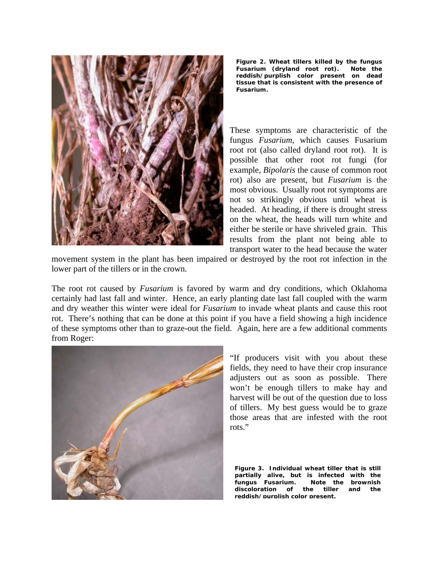

**Figure 2. Wheat tillers killed by the fungus**  *Fusarium* **(dryland root rot). Note the reddish/purplish color present on dead tissue that is consistent with the presence of**  *Fusarium***.** 

These symptoms are characteristic of the fungus *Fusarium*, which causes Fusarium root rot (also called dryland root rot). It is possible that other root rot fungi (for example, *Bipolaris* the cause of common root rot) also are present, but *Fusarium* is the most obvious. Usually root rot symptoms are not so strikingly obvious until wheat is headed. At heading, if there is drought stress on the wheat, the heads will turn white and either be sterile or have shriveled grain. This results from the plant not being able to transport water to the head because the water

movement system in the plant has been impaired or destroyed by the root rot infection in the lower part of the tillers or in the crown.

The root rot caused by *Fusarium* is favored by warm and dry conditions, which Oklahoma certainly had last fall and winter. Hence, an early planting date last fall coupled with the warm and dry weather this winter were ideal for *Fusarium* to invade wheat plants and cause this root rot. There's nothing that can be done at this point if you have a field showing a high incidence of these symptoms other than to graze-out the field. Again, here are a few additional comments from Roger:



"If producers visit with you about these fields, they need to have their crop insurance adjusters out as soon as possible. There won't be enough tillers to make hay and harvest will be out of the question due to loss of tillers. My best guess would be to graze those areas that are infested with the root rots."

**Figure 3. Individual wheat tiller that is still partially alive, but is infected with the fungus Fusarium. Note the brownish discoloration of the tiller and the reddish/purplish color present.**